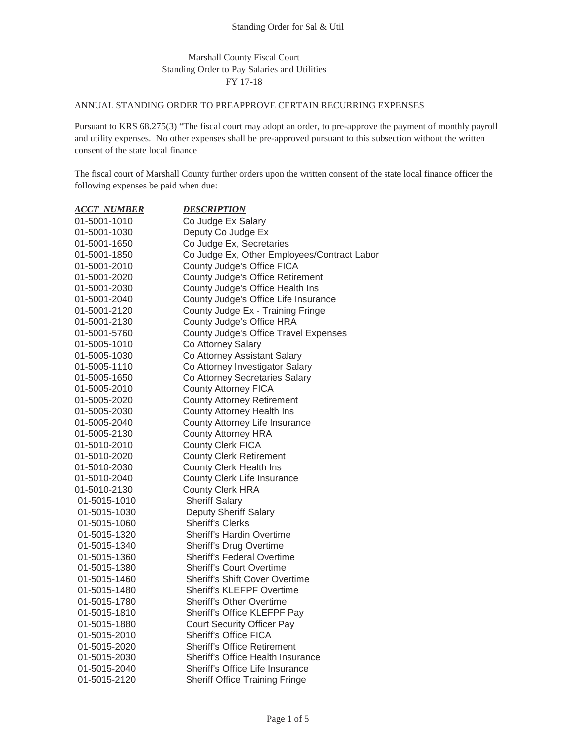## Marshall County Fiscal Court Standing Order to Pay Salaries and Utilities FY 17-18

## ANNUAL STANDING ORDER TO PREAPPROVE CERTAIN RECURRING EXPENSES

Pursuant to KRS 68.275(3) "The fiscal court may adopt an order, to pre-approve the payment of monthly payroll and utility expenses. No other expenses shall be pre-approved pursuant to this subsection without the written consent of the state local finance

The fiscal court of Marshall County further orders upon the written consent of the state local finance officer the following expenses be paid when due:

| <b>ACCT NUMBER</b> | <b>DESCRIPTION</b>                          |
|--------------------|---------------------------------------------|
| 01-5001-1010       | Co Judge Ex Salary                          |
| 01-5001-1030       | Deputy Co Judge Ex                          |
| 01-5001-1650       | Co Judge Ex, Secretaries                    |
| 01-5001-1850       | Co Judge Ex, Other Employees/Contract Labor |
| 01-5001-2010       | County Judge's Office FICA                  |
| 01-5001-2020       | County Judge's Office Retirement            |
| 01-5001-2030       | County Judge's Office Health Ins            |
| 01-5001-2040       | County Judge's Office Life Insurance        |
| 01-5001-2120       | County Judge Ex - Training Fringe           |
| 01-5001-2130       | County Judge's Office HRA                   |
| 01-5001-5760       | County Judge's Office Travel Expenses       |
| 01-5005-1010       | Co Attorney Salary                          |
| 01-5005-1030       | Co Attorney Assistant Salary                |
| 01-5005-1110       | Co Attorney Investigator Salary             |
| 01-5005-1650       | Co Attorney Secretaries Salary              |
| 01-5005-2010       | <b>County Attorney FICA</b>                 |
| 01-5005-2020       | <b>County Attorney Retirement</b>           |
| 01-5005-2030       | County Attorney Health Ins                  |
| 01-5005-2040       | County Attorney Life Insurance              |
| 01-5005-2130       | <b>County Attorney HRA</b>                  |
| 01-5010-2010       | <b>County Clerk FICA</b>                    |
| 01-5010-2020       | <b>County Clerk Retirement</b>              |
| 01-5010-2030       | County Clerk Health Ins                     |
| 01-5010-2040       | County Clerk Life Insurance                 |
| 01-5010-2130       | <b>County Clerk HRA</b>                     |
| 01-5015-1010       | <b>Sheriff Salary</b>                       |
| 01-5015-1030       | Deputy Sheriff Salary                       |
| 01-5015-1060       | <b>Sheriff's Clerks</b>                     |
| 01-5015-1320       | Sheriff's Hardin Overtime                   |
| 01-5015-1340       | Sheriff's Drug Overtime                     |
| 01-5015-1360       | <b>Sheriff's Federal Overtime</b>           |
| 01-5015-1380       | <b>Sheriff's Court Overtime</b>             |
| 01-5015-1460       | Sheriff's Shift Cover Overtime              |
| 01-5015-1480       | <b>Sheriff's KLEFPF Overtime</b>            |
| 01-5015-1780       | <b>Sheriff's Other Overtime</b>             |
| 01-5015-1810       | Sheriff's Office KLEFPF Pay                 |
| 01-5015-1880       | <b>Court Security Officer Pay</b>           |
| 01-5015-2010       | <b>Sheriff's Office FICA</b>                |
| 01-5015-2020       | <b>Sheriff's Office Retirement</b>          |
| 01-5015-2030       | Sheriff's Office Health Insurance           |
| 01-5015-2040       | Sheriff's Office Life Insurance             |
| 01-5015-2120       | <b>Sheriff Office Training Fringe</b>       |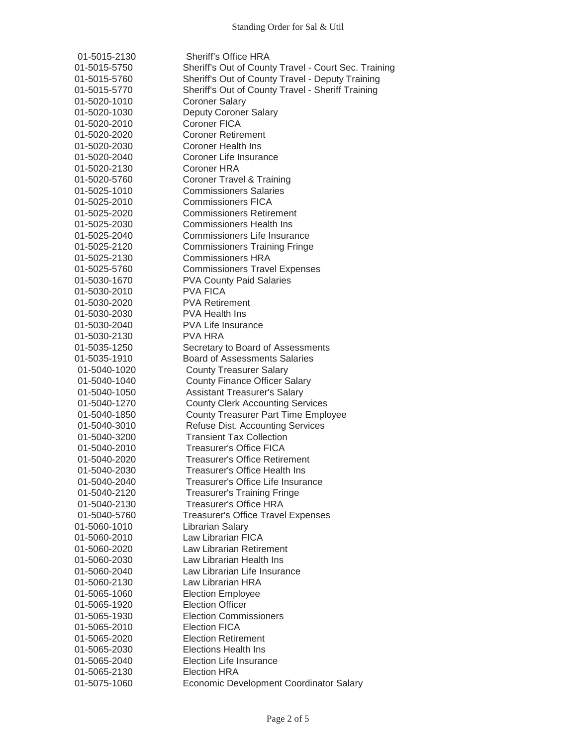| 01-5015-2130 | <b>Sheriff's Office HRA</b>                          |
|--------------|------------------------------------------------------|
| 01-5015-5750 | Sheriff's Out of County Travel - Court Sec. Training |
| 01-5015-5760 | Sheriff's Out of County Travel - Deputy Training     |
| 01-5015-5770 | Sheriff's Out of County Travel - Sheriff Training    |
| 01-5020-1010 | <b>Coroner Salary</b>                                |
| 01-5020-1030 | <b>Deputy Coroner Salary</b>                         |
| 01-5020-2010 | <b>Coroner FICA</b>                                  |
| 01-5020-2020 | <b>Coroner Retirement</b>                            |
| 01-5020-2030 | <b>Coroner Health Ins</b>                            |
| 01-5020-2040 | Coroner Life Insurance                               |
| 01-5020-2130 | Coroner HRA                                          |
| 01-5020-5760 | <b>Coroner Travel &amp; Training</b>                 |
| 01-5025-1010 | <b>Commissioners Salaries</b>                        |
| 01-5025-2010 | <b>Commissioners FICA</b>                            |
| 01-5025-2020 | <b>Commissioners Retirement</b>                      |
| 01-5025-2030 | <b>Commissioners Health Ins</b>                      |
| 01-5025-2040 | Commissioners Life Insurance                         |
| 01-5025-2120 | <b>Commissioners Training Fringe</b>                 |
| 01-5025-2130 | <b>Commissioners HRA</b>                             |
| 01-5025-5760 | <b>Commissioners Travel Expenses</b>                 |
| 01-5030-1670 | <b>PVA County Paid Salaries</b>                      |
| 01-5030-2010 | <b>PVA FICA</b>                                      |
| 01-5030-2020 | <b>PVA Retirement</b>                                |
| 01-5030-2030 | <b>PVA Health Ins</b>                                |
| 01-5030-2040 | <b>PVA Life Insurance</b>                            |
| 01-5030-2130 | PVA HRA                                              |
|              |                                                      |
| 01-5035-1250 | Secretary to Board of Assessments                    |
| 01-5035-1910 | <b>Board of Assessments Salaries</b>                 |
| 01-5040-1020 | <b>County Treasurer Salary</b>                       |
| 01-5040-1040 | <b>County Finance Officer Salary</b>                 |
| 01-5040-1050 | <b>Assistant Treasurer's Salary</b>                  |
| 01-5040-1270 | <b>County Clerk Accounting Services</b>              |
| 01-5040-1850 | <b>County Treasurer Part Time Employee</b>           |
| 01-5040-3010 | <b>Refuse Dist. Accounting Services</b>              |
| 01-5040-3200 | <b>Transient Tax Collection</b>                      |
| 01-5040-2010 | <b>Treasurer's Office FICA</b>                       |
| 01-5040-2020 | <b>Treasurer's Office Retirement</b>                 |
| 01-5040-2030 | Treasurer's Office Health Ins                        |
| 01-5040-2040 | Treasurer's Office Life Insurance                    |
| 01-5040-2120 | <b>Treasurer's Training Fringe</b>                   |
| 01-5040-2130 | Treasurer's Office HRA                               |
| 01-5040-5760 | <b>Treasurer's Office Travel Expenses</b>            |
| 01-5060-1010 | Librarian Salary                                     |
| 01-5060-2010 | Law Librarian FICA                                   |
| 01-5060-2020 | Law Librarian Retirement                             |
| 01-5060-2030 | Law Librarian Health Ins                             |
| 01-5060-2040 | Law Librarian Life Insurance                         |
| 01-5060-2130 | Law Librarian HRA                                    |
| 01-5065-1060 | <b>Election Employee</b>                             |
| 01-5065-1920 | <b>Election Officer</b>                              |
| 01-5065-1930 | <b>Election Commissioners</b>                        |
| 01-5065-2010 | <b>Election FICA</b>                                 |
| 01-5065-2020 | <b>Election Retirement</b>                           |
| 01-5065-2030 | <b>Elections Health Ins</b>                          |
| 01-5065-2040 | <b>Election Life Insurance</b>                       |
| 01-5065-2130 | <b>Election HRA</b>                                  |
| 01-5075-1060 | Economic Development Coordinator Salary              |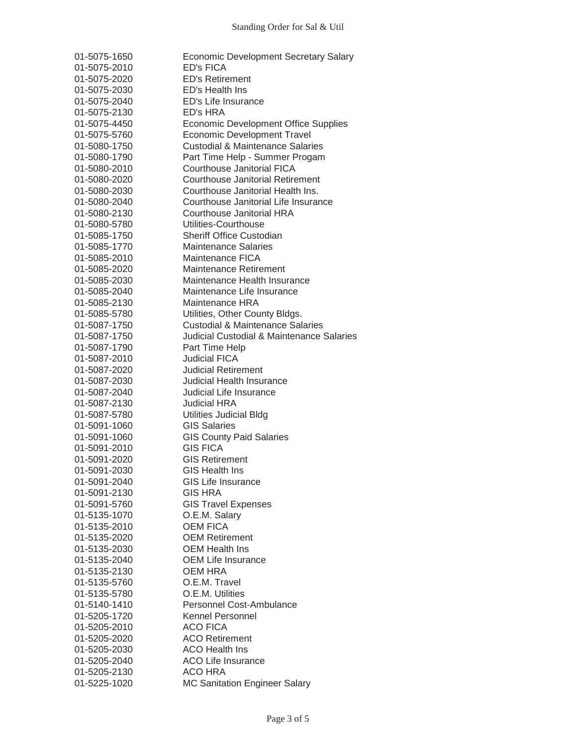| 01-5075-1650                 | Economic Development Secretary Salary                 |
|------------------------------|-------------------------------------------------------|
| 01-5075-2010                 | <b>ED's FICA</b>                                      |
| 01-5075-2020                 | <b>ED's Retirement</b>                                |
| 01-5075-2030                 | ED's Health Ins                                       |
| 01-5075-2040                 | ED's Life Insurance                                   |
| 01-5075-2130                 | ED's HRA                                              |
| 01-5075-4450                 | <b>Economic Development Office Supplies</b>           |
| 01-5075-5760                 | <b>Economic Development Travel</b>                    |
| 01-5080-1750                 | <b>Custodial &amp; Maintenance Salaries</b>           |
| 01-5080-1790                 | Part Time Help - Summer Progam                        |
| 01-5080-2010                 | Courthouse Janitorial FICA                            |
| 01-5080-2020                 | <b>Courthouse Janitorial Retirement</b>               |
| 01-5080-2030                 | Courthouse Janitorial Health Ins.                     |
| 01-5080-2040                 | Courthouse Janitorial Life Insurance                  |
| 01-5080-2130                 | Courthouse Janitorial HRA                             |
| 01-5080-5780                 | Utilities-Courthouse                                  |
| 01-5085-1750                 | <b>Sheriff Office Custodian</b>                       |
| 01-5085-1770                 | <b>Maintenance Salaries</b>                           |
| 01-5085-2010                 | Maintenance FICA                                      |
| 01-5085-2020                 | <b>Maintenance Retirement</b>                         |
| 01-5085-2030                 | Maintenance Health Insurance                          |
| 01-5085-2040                 | Maintenance Life Insurance                            |
| 01-5085-2130                 | Maintenance HRA                                       |
| 01-5085-5780                 | Utilities, Other County Bldgs.                        |
|                              | <b>Custodial &amp; Maintenance Salaries</b>           |
| 01-5087-1750<br>01-5087-1750 | <b>Judicial Custodial &amp; Maintenance Salaries</b>  |
|                              |                                                       |
| 01-5087-1790                 | Part Time Help                                        |
| 01-5087-2010                 | <b>Judicial FICA</b>                                  |
| 01-5087-2020                 | <b>Judicial Retirement</b>                            |
| 01-5087-2030                 | <b>Judicial Health Insurance</b>                      |
| 01-5087-2040                 | Judicial Life Insurance                               |
| 01-5087-2130                 | <b>Judicial HRA</b>                                   |
| 01-5087-5780                 | <b>Utilities Judicial Bldg</b><br><b>GIS Salaries</b> |
| 01-5091-1060                 |                                                       |
| 01-5091-1060                 | <b>GIS County Paid Salaries</b>                       |
| 01-5091-2010                 | <b>GIS FICA</b><br><b>GIS Retirement</b>              |
| 01-5091-2020                 |                                                       |
| 01-5091-2030                 | <b>GIS Health Ins</b><br><b>GIS Life Insurance</b>    |
| 01-5091-2040                 |                                                       |
| 01-5091-2130                 | <b>GIS HRA</b>                                        |
| 01-5091-5760                 | <b>GIS Travel Expenses</b>                            |
| 01-5135-1070                 | O.E.M. Salary                                         |
| 01-5135-2010                 | <b>OEM FICA</b>                                       |
| 01-5135-2020                 | <b>OEM Retirement</b>                                 |
| 01-5135-2030                 | <b>OEM Health Ins</b>                                 |
| 01-5135-2040                 | <b>OEM Life Insurance</b>                             |
| 01-5135-2130                 | <b>OEM HRA</b>                                        |
| 01-5135-5760                 | O.E.M. Travel                                         |
| 01-5135-5780                 | O.E.M. Utilities                                      |
| 01-5140-1410                 | <b>Personnel Cost-Ambulance</b>                       |
| 01-5205-1720                 | Kennel Personnel                                      |
| 01-5205-2010                 | <b>ACO FICA</b>                                       |
| 01-5205-2020                 | <b>ACO Retirement</b>                                 |
| 01-5205-2030                 | <b>ACO Health Ins</b>                                 |
| 01-5205-2040                 | <b>ACO Life Insurance</b>                             |
| 01-5205-2130                 | <b>ACO HRA</b>                                        |
| 01-5225-1020                 | <b>MC Sanitation Engineer Salary</b>                  |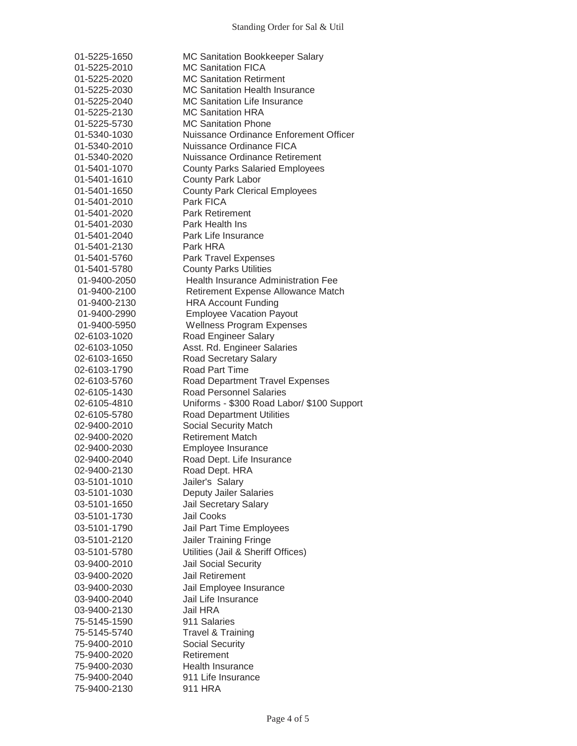| 01-5225-1650 | MC Sanitation Bookkeeper Salary            |
|--------------|--------------------------------------------|
| 01-5225-2010 | <b>MC Sanitation FICA</b>                  |
| 01-5225-2020 | <b>MC Sanitation Retirment</b>             |
| 01-5225-2030 | <b>MC Sanitation Health Insurance</b>      |
| 01-5225-2040 | <b>MC Sanitation Life Insurance</b>        |
| 01-5225-2130 | <b>MC Sanitation HRA</b>                   |
| 01-5225-5730 | <b>MC Sanitation Phone</b>                 |
| 01-5340-1030 | Nuissance Ordinance Enforement Officer     |
| 01-5340-2010 | Nuissance Ordinance FICA                   |
| 01-5340-2020 | Nuissance Ordinance Retirement             |
| 01-5401-1070 | <b>County Parks Salaried Employees</b>     |
| 01-5401-1610 | <b>County Park Labor</b>                   |
| 01-5401-1650 | <b>County Park Clerical Employees</b>      |
| 01-5401-2010 | Park FICA                                  |
| 01-5401-2020 | <b>Park Retirement</b>                     |
| 01-5401-2030 | Park Health Ins                            |
| 01-5401-2040 | Park Life Insurance                        |
| 01-5401-2130 | Park HRA                                   |
| 01-5401-5760 | Park Travel Expenses                       |
| 01-5401-5780 | <b>County Parks Utilities</b>              |
| 01-9400-2050 | <b>Health Insurance Administration Fee</b> |
| 01-9400-2100 | Retirement Expense Allowance Match         |
| 01-9400-2130 | <b>HRA Account Funding</b>                 |
| 01-9400-2990 | <b>Employee Vacation Payout</b>            |
| 01-9400-5950 | <b>Wellness Program Expenses</b>           |
| 02-6103-1020 | Road Engineer Salary                       |
| 02-6103-1050 | Asst. Rd. Engineer Salaries                |
| 02-6103-1650 | Road Secretary Salary                      |
| 02-6103-1790 | <b>Road Part Time</b>                      |
| 02-6103-5760 | <b>Road Department Travel Expenses</b>     |
| 02-6105-1430 | <b>Road Personnel Salaries</b>             |
| 02-6105-4810 | Uniforms - \$300 Road Labor/ \$100 Support |
| 02-6105-5780 | <b>Road Department Utilities</b>           |
| 02-9400-2010 | <b>Social Security Match</b>               |
| 02-9400-2020 | <b>Retirement Match</b>                    |
| 02-9400-2030 | Employee Insurance                         |
| 02-9400-2040 | Road Dept. Life Insurance                  |
| 02-9400-2130 | Road Dept. HRA                             |
| 03-5101-1010 | Jailer's Salary                            |
| 03-5101-1030 | <b>Deputy Jailer Salaries</b>              |
| 03-5101-1650 | Jail Secretary Salary                      |
| 03-5101-1730 | Jail Cooks                                 |
| 03-5101-1790 | Jail Part Time Employees                   |
| 03-5101-2120 | <b>Jailer Training Fringe</b>              |
| 03-5101-5780 | Utilities (Jail & Sheriff Offices)         |
|              |                                            |
| 03-9400-2010 | Jail Social Security                       |
| 03-9400-2020 | <b>Jail Retirement</b>                     |
| 03-9400-2030 | Jail Employee Insurance                    |
| 03-9400-2040 | Jail Life Insurance                        |
| 03-9400-2130 | Jail HRA                                   |
| 75-5145-1590 | 911 Salaries                               |
| 75-5145-5740 | <b>Travel &amp; Training</b>               |
| 75-9400-2010 | <b>Social Security</b>                     |
| 75-9400-2020 | Retirement                                 |
| 75-9400-2030 | <b>Health Insurance</b>                    |
| 75-9400-2040 | 911 Life Insurance                         |
| 75-9400-2130 | 911 HRA                                    |